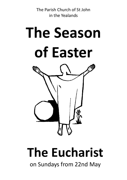The Parish Church of St John in the Yealands



# **The Eucharist**

on Sundays from 22nd May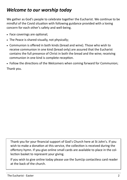# *Welcome to our worship today*

We gather as God's people to celebrate together the Eucharist. We continue to be mindful of the Covid situation with following guidance provided with a loving concern for each other's safety and well-being.

- Face coverings are optional;
- The Peace is shared visually, not physically;
- Communion is offered in both kinds (bread and wine). Those who wish to receive communion in one kind (bread only) are assured that the Eucharist contains the full presence of Christ in both the bread and the wine; receiving communion in one kind is complete reception.
- Follow the directions of the Welcomers when coming forward for Communion;

Thank you.

Thank you for your financial support of God's Church here at St John's. If you wish to make a donation at this service, the collection is received during the offertory hymn. If you give online small cards are available to place in the collection basket to represent your giving.

If you wish to give online today please use the SumUp contactless card reader at the back of the church.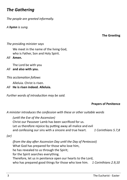## *The Gathering*

*The people are greeted informally.*

*A hymn is sung.*

**The Greeting**

## *The presiding minister says*

We meet in the name of the living God, who is Father, Son and Holy Spirit.

*All* **Amen.**

The Lord be with you

## *All* **and also with you.**

## *This acclamation follows*

Alleluia. Christ is risen.

*All* **He is risen indeed. Alleluia.** 

*Further words of introduction may be said.*

## **Prayers of Penitence**

*A minister introduces the confession with these or other suitable words*

*(until the Eve of the Ascension)* Christ our Passover Lamb has been sacrificed for us. Let us therefore rejoice by putting away all malice and evil and confessing our sins with a sincere and true heart. *1 Corinthians 5.7,8*

*(or)*

*(from the day after Ascension Day until the Day of Pentecost)* What God has prepared for those who love him, he has revealed to us through the Spirit; for the Spirit searches everything. Therefore, let us in penitence open our hearts to the Lord, who has prepared good things for those who love him. *1 Corinthians 2.9,10*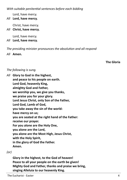*With suitable penitential sentences before each bidding*

Lord, have mercy.

*All* **Lord, have mercy.**

Christ, have mercy.

*All* **Christ, have mercy.**

Lord, have mercy.

*All* **Lord, have mercy.**

*The presiding minister pronounces the absolution and all respond*

*All* **Amen.**

**The Gloria**

## *The following is sung.*

*All* **Glory to God in the highest, and peace to his people on earth. Lord God, heavenly King, almighty God and Father, we worship you, we give you thanks, we praise you for your glory. Lord Jesus Christ, only Son of the Father, Lord God, Lamb of God, you take away the sin of the world: have mercy on us; you are seated at the right hand of the Father: receive our prayer. For you alone are the Holy One, you alone are the Lord, you alone are the Most High, Jesus Christ, with the Holy Spirit, in the glory of God the Father. Amen.**

## *(or)*

**Glory in the highest, to the God of heaven! Peace to all your people on the earth be given! Mighty God and Father, thanks and praise we bring, singing Alleluia to our heavenly King.**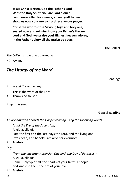**Jesus Christ is risen, God the Father's Son! With the Holy Spirit, you are Lord alone! Lamb once killed for sinners, all our guilt to bear, show us now your mercy, Lord receive our prayer.** 

**Christ the world's true Saviour, high and holy one, seated now and reigning from your Father's throne, Lord and God, we praise you! Highest heaven adores, in the Father's glory all the praise be yours.** 

**The Collect**

*The Collect is said and all respond All* **Amen.**

# *The Liturgy of the Word*

**Readings**

## *At the end the reader says*

This is the word of the Lord.

*All* **Thanks be to God.**

*A hymn is sung.* 

**Gospel Reading**

*An acclamation heralds the Gospel reading using the following words*

*(until the Eve of the Ascension)*

Alleluia, alleluia.

I am the first and the last, says the Lord, and the living one;

I was dead, and behold I am alive for evermore.

## *All* **Alleluia.**

*(or)*

*(from the day after Ascension Day until the Day of Pentecost)* Alleluia, alleluia.

Come, Holy Spirit, fill the hearts of your faithful people and kindle in them the fire of your love.

## *All* **Alleluia.**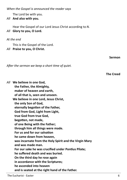*When the Gospel is announced the reader says*

The Lord be with you.

*All* **And also with you.**

Hear the Gospel of our Lord Jesus Christ according to *N*.

*All* **Glory to you, O Lord.**

## *At the end*

This is the Gospel of the Lord.

*All* **Praise to you, O Christ.**

*After the sermon we keep a short time of quiet.* 

*All* **We believe in one God, the Father, the Almighty, maker of heaven and earth, of all that is, seen and unseen. We believe in one Lord, Jesus Christ, the only Son of God, eternally begotten of the Father, God from God, Light from Light, true God from true God, begotten, not made, of one Being with the Father; through him all things were made. For us and for our salvation he came down from heaven, was incarnate from the Holy Spirit and the Virgin Mary and was made man. For our sake he was crucified under Pontius Pilate; he suffered death and was buried. On the third day he rose again in accordance with the Scriptures; he ascended into heaven and is seated at the right hand of the Father.**

**Sermon**

**The Creed**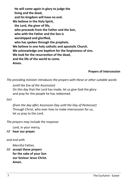**He will come again in glory to judge the living and the dead, and his kingdom will have no end. We believe in the Holy Spirit, the Lord, the giver of life, who proceeds from the Father and the Son, who with the Father and the Son is worshipped and glorified, who has spoken through the prophets. We believe in one holy catholic and apostolic Church. We acknowledge one baptism for the forgiveness of sins. We look for the resurrection of the dead, and the life of the world to come. Amen.**

## **Prayers of Intercession**

*The presiding minister introduces the prayers with these or other suitable words*

*(until the Eve of the Ascension)* On this day that the Lord has made, let us give God the glory and pray for the people he has redeemed.

*(or)*

*(from the day after Ascension Day until the Day of Pentecost)* Through Christ, who ever lives to make intercession for us, let us pray to the Lord.

*The prayers may include the response*

Lord, in your mercy,

*All* **hear our prayer.**

*and end with*

Merciful Father,

*All* **accept these prayers for the sake of your Son our Saviour Jesus Christ. Amen.**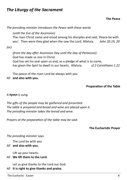## *The Liturgy of the Sacrament*

**The Peace**

*The presiding minister introduces the Peace with these words* 

*(until the Eve of the Ascension)*

The risen Christ came and stood among his disciples and said, 'Peace be with you'. Then were they glad when the saw the Lord. Alleluia. *John 20.19, 20* 

*(or)*

*(from the day after Ascension Day until the Day of Pentecost)* God has made us one in Christ. God has set his seal upon us and, as a pledge of what is to come, has given the Spirt to dwell in our hearts. Alleluia. *cf 2 Corinthians 1.22*

The peace of the risen Lord be always with you

*All* **and also with you.**

## **Preparation of the Table**

## *A hymn is sung.*

*The gifts of the people may be gathered and presented. The table is prepared and bread and wine are placed upon it. The presiding minister takes the bread and wine.*

*Prayers at the preparation of the table may be said.* 

## **The Eucharistic Prayer**

## *The presiding minister says*

The Lord be with you

## *All* **and also with you.**

Lift up your hearts.

## *All* **We lift them to the Lord.**

Let us give thanks to the Lord our God.

## *All* **It is right to give thanks and praise.**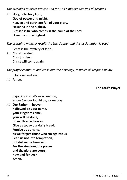*The presiding minister praises God for God's mighty acts and all respond*

*All* **Holy, holy, holy Lord,**

**God of power and might, heaven and earth are full of your glory. Hosanna in the highest. Blessed is he who comes in the name of the Lord. Hosanna in the highest.**

*The presiding minister recalls the Last Supper and this acclamation is used*

Great is the mystery of faith:

*All* **Christ has died: Christ is risen: Christ will come again.** 

*The prayer continues and leads into the doxology, to which all respond boldly*

…for ever and ever.

*All* **Amen.** 

**The Lord's Prayer**

Rejoicing in God's new creation, as our Saviour taught us, so we pray

*All* **Our Father in heaven, hallowed be your name, your kingdom come, your will be done, on earth as in heaven. Give us today our daily bread. Forgive us our sins, as we forgive those who sin against us. Lead us not into temptation, but deliver us from evil. For the kingdom, the power and the glory are yours, now and for ever. Amen.**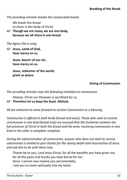*The presiding minister breaks the consecrated bread.*

We break this bread to share in the body of Christ.

*All* **Though we are many, we are one body, because we all share in one bread.**

*The* Agnus Dei *is sung* 

*All* **Jesus, Lamb of God, have mercy on us.**

> **Jesus, bearer of our sin, have mercy on us.**

**Jesus, redeemer of the world, grant us peace.**

## **Giving of Communion**

*The presiding minister says the following invitation to communion*

Alleluia. Christ our Passover is sacrificed for us.

*All* **Therefore let us keep the feast. Alleluia.** 

*All are welcome to come forward to receive Communion or a blessing.* 

*Communion is offered in both kinds (bread and wine). Those who wish to receive communion in one kind (bread only) are assured that the Eucharist contains the full presence of Christ in both the bread and the wine; receiving communion in one kind or the other is complete reception.* 

*During the administration of communion, anyone who does not wish to receive communion is invited to give thanks for the saving death and resurrection of Jesus and ask him to be with them now.* 

Thanks be to you, Lord Jesus Christ, for all the benefits you have given me, for all the pains and insults you have borne for me. Since I cannot now receive you sacramentally,

I ask you to come spiritually into my heart.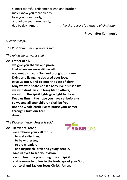O most merciful redeemer, friend and brother, may I know you more clearly, love you more dearly, and follow you more nearly, day by day. Amen. *After the Prayer of St Richard of Chichester*

#### **Prayer after Communion**

*Silence is kept.*

*The Post Communion prayer is said.*

*The following prayer is said*

*All* **Father of all,**

**we give you thanks and praise, that when we were still far off you met us in your Son and brought us home. Dying and living, he declared your love, gave us grace, and opened the gate of glory. May we who share Christ's body live his risen life; we who drink his cup bring life to others; we whom the Spirit lights give light to the world. Keep us firm in the hope you have set before us, so we and all your children shall be free, and the whole earth live to praise your name; through Christ our Lord. Amen.**

*The Diocesan Vision Prayer is said*



*All* **Heavenly Father, we embrace your call for us to make disciples, to be witnesses, to grow leaders and inspire children and young people. Give us eyes to see your vision, ears to hear the prompting of your Spirit and courage to follow in the footsteps of your Son, our Lord and Saviour Jesus Christ. Amen.**